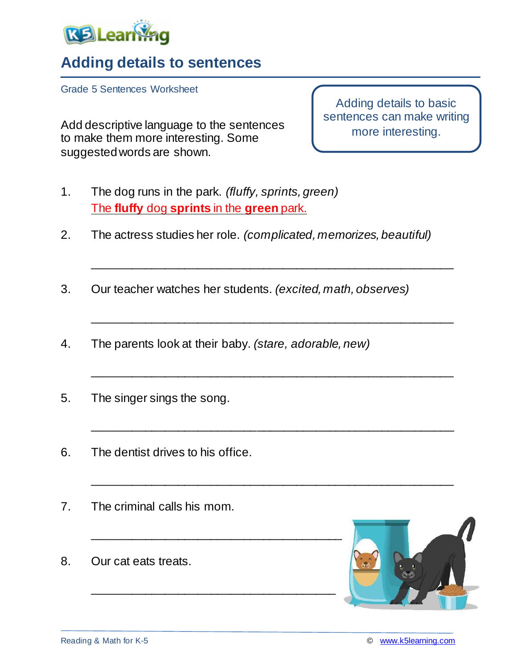

## **Adding details to sentences**

Grade 5 Sentences Worksheet

Add descriptive language to the sentences to make them more interesting. Some suggested words are shown.

Adding details to basic sentences can make writing more interesting.

- 1. The dog runs in the park. *(fluffy, sprints, green)* The **fluffy** dog **sprints** in the **green** park.
- 2. The actress studies her role*. (complicated, memorizes, beautiful)*

\_\_\_\_\_\_\_\_\_\_\_\_\_\_\_\_\_\_\_\_\_\_\_\_\_\_\_\_\_\_\_\_\_\_\_\_\_\_\_\_\_\_\_\_\_\_\_\_\_\_\_\_\_\_\_

\_\_\_\_\_\_\_\_\_\_\_\_\_\_\_\_\_\_\_\_\_\_\_\_\_\_\_\_\_\_\_\_\_\_\_\_\_\_\_\_\_\_\_\_\_\_\_\_\_\_\_\_\_\_\_

\_\_\_\_\_\_\_\_\_\_\_\_\_\_\_\_\_\_\_\_\_\_\_\_\_\_\_\_\_\_\_\_\_\_\_\_\_\_\_\_\_\_\_\_\_\_\_\_\_\_\_\_\_\_\_

\_\_\_\_\_\_\_\_\_\_\_\_\_\_\_\_\_\_\_\_\_\_\_\_\_\_\_\_\_\_\_\_\_\_\_\_\_\_\_\_\_\_\_\_\_\_\_\_\_\_\_\_\_\_\_

\_\_\_\_\_\_\_\_\_\_\_\_\_\_\_\_\_\_\_\_\_\_\_\_\_\_\_\_\_\_\_\_\_\_\_\_\_\_\_\_\_\_\_\_\_\_\_\_\_\_\_\_\_\_\_

- 3. Our teacher watches her students*. (excited, math, observes)*
- 4. The parents look at their baby. *(stare, adorable, new)*

\_\_\_\_\_\_\_\_\_\_\_\_\_\_\_\_\_\_\_\_\_\_\_\_\_\_\_\_\_\_\_\_\_\_\_\_\_

- 5. The singer sings the song.
- 6. The dentist drives to his office.
- 7. The criminal calls his mom.
- 8. Our cat eats treats.